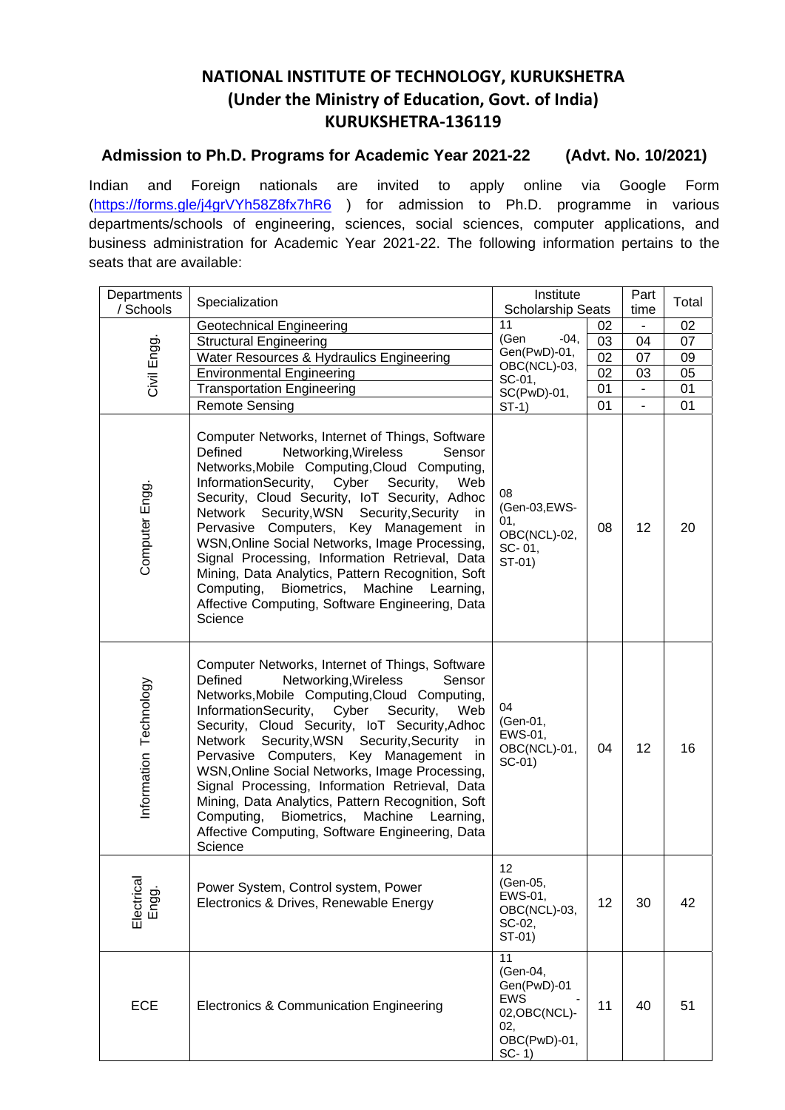## **NATIONAL INSTITUTE OF TECHNOLOGY, KURUKSHETRA (Under the Ministry of Education, Govt. of India) KURUKSHETRA‐136119**

## **Admission to Ph.D. Programs for Academic Year 2021-22 (Advt. No. 10/2021)**

Indian and Foreign nationals are invited to apply online via Google Form [\(https://forms.gle/j4grVYh58Z8fx7hR6](https://forms.gle/j4grVYh58Z8fx7hR6) ) for admission to Ph.D. programme in various departments/schools of engineering, sciences, social sciences, computer applications, and business administration for Academic Year 2021-22. The following information pertains to the seats that are available:

| Departments            | Specialization                                                                                                                                                                                                                                                                                                                                                                                                                                                                                                                                                                                                          |                                                                                          | Institute       |                        | Total           |
|------------------------|-------------------------------------------------------------------------------------------------------------------------------------------------------------------------------------------------------------------------------------------------------------------------------------------------------------------------------------------------------------------------------------------------------------------------------------------------------------------------------------------------------------------------------------------------------------------------------------------------------------------------|------------------------------------------------------------------------------------------|-----------------|------------------------|-----------------|
| / Schools              |                                                                                                                                                                                                                                                                                                                                                                                                                                                                                                                                                                                                                         | <b>Scholarship Seats</b><br>11<br>02                                                     |                 | time<br>$\blacksquare$ | 02              |
|                        | Geotechnical Engineering<br><b>Structural Engineering</b>                                                                                                                                                                                                                                                                                                                                                                                                                                                                                                                                                               | (Gen<br>$-04,$                                                                           | 03              | 04                     | 07              |
| Civil Engg.            | Water Resources & Hydraulics Engineering                                                                                                                                                                                                                                                                                                                                                                                                                                                                                                                                                                                | Gen(PwD)-01,                                                                             | $\overline{02}$ | 07                     | 09              |
|                        | <b>Environmental Engineering</b>                                                                                                                                                                                                                                                                                                                                                                                                                                                                                                                                                                                        | OBC(NCL)-03,                                                                             | 02              | 03                     | $\overline{05}$ |
|                        | <b>Transportation Engineering</b>                                                                                                                                                                                                                                                                                                                                                                                                                                                                                                                                                                                       | SC-01,                                                                                   | 01              | $\blacksquare$         | $\overline{01}$ |
|                        | <b>Remote Sensing</b>                                                                                                                                                                                                                                                                                                                                                                                                                                                                                                                                                                                                   | $SC(PwD)-01,$<br>$ST-1)$                                                                 | 01              | L.                     | 01              |
| Computer Engg.         | Computer Networks, Internet of Things, Software<br>Defined<br>Networking, Wireless<br>Sensor<br>Networks, Mobile Computing, Cloud Computing,<br>InformationSecurity, Cyber<br>Security,<br>Web<br>Security, Cloud Security, IoT Security, Adhoc<br>Network Security, WSN Security, Security<br>in<br>Pervasive Computers, Key Management in<br>WSN, Online Social Networks, Image Processing,<br>Signal Processing, Information Retrieval, Data<br>Mining, Data Analytics, Pattern Recognition, Soft<br>Biometrics,<br>Computing,<br>Machine<br>Learning,<br>Affective Computing, Software Engineering, Data<br>Science | 08<br>(Gen-03,EWS-<br>01.<br>OBC(NCL)-02,<br>SC-01,<br>ST-01)                            | 08              | 12                     | 20              |
| Information Technology | Computer Networks, Internet of Things, Software<br>Networking, Wireless<br>Defined<br>Sensor<br>Networks, Mobile Computing, Cloud Computing,<br>InformationSecurity, Cyber<br>Security,<br>Web<br>Security, Cloud Security, IoT Security, Adhoc<br>Security, WSN Security, Security<br>Network<br>in<br>Pervasive Computers, Key Management in<br>WSN, Online Social Networks, Image Processing,<br>Signal Processing, Information Retrieval, Data<br>Mining, Data Analytics, Pattern Recognition, Soft<br>Computing,<br>Biometrics,<br>Machine Learning,<br>Affective Computing, Software Engineering, Data<br>Science | 04<br>(Gen-01,<br>EWS-01,<br>OBC(NCL)-01,<br>$SC-01$                                     | 04              | 12                     | 16              |
| Electrical<br>Engg.    | Power System, Control system, Power<br>Electronics & Drives, Renewable Energy                                                                                                                                                                                                                                                                                                                                                                                                                                                                                                                                           | 12<br>(Gen-05,<br>EWS-01,<br>OBC(NCL)-03,<br>SC-02,<br>ST-01)                            | 12              | 30                     | 42              |
| <b>ECE</b>             | Electronics & Communication Engineering                                                                                                                                                                                                                                                                                                                                                                                                                                                                                                                                                                                 | 11<br>(Gen-04,<br>Gen(PwD)-01<br>EWS<br>02, OBC (NCL)-<br>02,<br>OBC(PwD)-01,<br>$SC-1)$ | 11              | 40                     | 51              |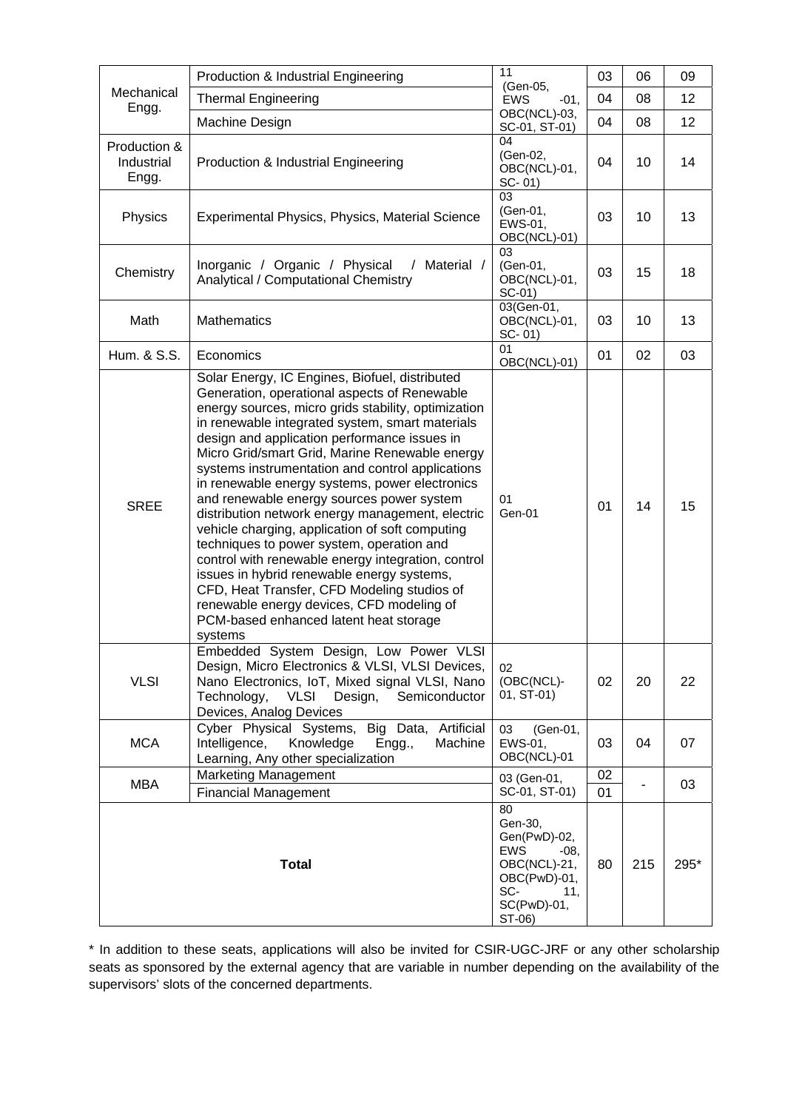| Mechanical<br>Engg.                 | Production & Industrial Engineering                                                                                                                                                                                                                                                                                                                                                                                                                                                                                                                                                                                                                                                                                                                                                                                                                                    | 11                                                                                                                           | 03       | 06  | 09   |
|-------------------------------------|------------------------------------------------------------------------------------------------------------------------------------------------------------------------------------------------------------------------------------------------------------------------------------------------------------------------------------------------------------------------------------------------------------------------------------------------------------------------------------------------------------------------------------------------------------------------------------------------------------------------------------------------------------------------------------------------------------------------------------------------------------------------------------------------------------------------------------------------------------------------|------------------------------------------------------------------------------------------------------------------------------|----------|-----|------|
|                                     | <b>Thermal Engineering</b>                                                                                                                                                                                                                                                                                                                                                                                                                                                                                                                                                                                                                                                                                                                                                                                                                                             | (Gen-05,<br><b>EWS</b><br>$-01,$                                                                                             | 04       | 08  | 12   |
|                                     | Machine Design                                                                                                                                                                                                                                                                                                                                                                                                                                                                                                                                                                                                                                                                                                                                                                                                                                                         | OBC(NCL)-03,<br>SC-01, ST-01)                                                                                                | 04       | 08  | 12   |
| Production &<br>Industrial<br>Engg. | 04<br>(Gen-02,<br>Production & Industrial Engineering<br>OBC(NCL)-01,<br>$SC - 01$                                                                                                                                                                                                                                                                                                                                                                                                                                                                                                                                                                                                                                                                                                                                                                                     |                                                                                                                              | 04       | 10  | 14   |
| Physics                             | 03<br>(Gen-01,<br>Experimental Physics, Physics, Material Science<br>EWS-01,<br>OBC(NCL)-01)                                                                                                                                                                                                                                                                                                                                                                                                                                                                                                                                                                                                                                                                                                                                                                           |                                                                                                                              | 03       | 10  | 13   |
| Chemistry                           | Inorganic / Organic / Physical<br>/ Material /<br>Analytical / Computational Chemistry                                                                                                                                                                                                                                                                                                                                                                                                                                                                                                                                                                                                                                                                                                                                                                                 | 03<br>(Gen-01,<br>OBC(NCL)-01,<br>$SC-01$                                                                                    | 03       | 15  | 18   |
| Math                                | <b>Mathematics</b>                                                                                                                                                                                                                                                                                                                                                                                                                                                                                                                                                                                                                                                                                                                                                                                                                                                     | 03(Gen-01,<br>OBC(NCL)-01,<br>SC-01)                                                                                         | 03       | 10  | 13   |
| Hum. & S.S.                         | Economics                                                                                                                                                                                                                                                                                                                                                                                                                                                                                                                                                                                                                                                                                                                                                                                                                                                              | 01<br>OBC(NCL)-01)                                                                                                           | 01       | 02  | 03   |
| <b>SREE</b>                         | Solar Energy, IC Engines, Biofuel, distributed<br>Generation, operational aspects of Renewable<br>energy sources, micro grids stability, optimization<br>in renewable integrated system, smart materials<br>design and application performance issues in<br>Micro Grid/smart Grid, Marine Renewable energy<br>systems instrumentation and control applications<br>in renewable energy systems, power electronics<br>and renewable energy sources power system<br>distribution network energy management, electric<br>vehicle charging, application of soft computing<br>techniques to power system, operation and<br>control with renewable energy integration, control<br>issues in hybrid renewable energy systems,<br>CFD, Heat Transfer, CFD Modeling studios of<br>renewable energy devices, CFD modeling of<br>PCM-based enhanced latent heat storage<br>systems | 01<br>Gen-01                                                                                                                 | 01       | 14  | 15   |
| <b>VLSI</b>                         | Embedded System Design, Low Power VLSI<br>Design, Micro Electronics & VLSI, VLSI Devices,<br>Nano Electronics, IoT, Mixed signal VLSI, Nano<br>VLSI Design,<br>Semiconductor<br>Technology,<br>Devices, Analog Devices                                                                                                                                                                                                                                                                                                                                                                                                                                                                                                                                                                                                                                                 | 02<br>(OBC(NCL)-<br>01, ST-01)                                                                                               | 02       | 20  | 22   |
| <b>MCA</b>                          | Cyber Physical Systems,<br>Big Data, Artificial<br>Intelligence,<br>Knowledge<br>Machine<br>Engg.,<br>Learning, Any other specialization                                                                                                                                                                                                                                                                                                                                                                                                                                                                                                                                                                                                                                                                                                                               | (Gen-01,<br>03<br>EWS-01,<br>OBC(NCL)-01                                                                                     | 03       | 04  | 07   |
| <b>MBA</b>                          | <b>Marketing Management</b><br><b>Financial Management</b>                                                                                                                                                                                                                                                                                                                                                                                                                                                                                                                                                                                                                                                                                                                                                                                                             | 03 (Gen-01,<br>SC-01, ST-01)                                                                                                 | 02<br>01 |     | 03   |
|                                     | <b>Total</b>                                                                                                                                                                                                                                                                                                                                                                                                                                                                                                                                                                                                                                                                                                                                                                                                                                                           | 80<br>Gen-30,<br>Gen(PwD)-02,<br><b>EWS</b><br>$-08,$<br>OBC(NCL)-21,<br>OBC(PwD)-01,<br>SC-<br>11,<br>SC(PwD)-01,<br>ST-06) | 80       | 215 | 295* |

\* In addition to these seats, applications will also be invited for CSIR-UGC-JRF or any other scholarship seats as sponsored by the external agency that are variable in number depending on the availability of the supervisors' slots of the concerned departments.